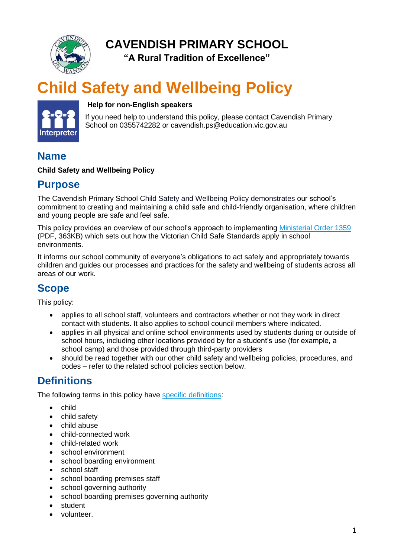

**CAVENDISH PRIMARY SCHOOL**

**"A Rural Tradition of Excellence"**

# **Child Safety and Wellbeing Policy**



#### **Help for non-English speakers**

If you need help to understand this policy, please contact Cavendish Primary School on 0355742282 or cavendish.ps@education.vic.gov.au

### **Name**

#### **Child Safety and Wellbeing Policy**

### **Purpose**

The Cavendish Primary School Child Safety and Wellbeing Policy demonstrates our school's commitment to creating and maintaining a child safe and child-friendly organisation, where children and young people are safe and feel safe.

This policy provides an overview of our school's approach to implementing [Ministerial Order 1359](https://www.education.vic.gov.au/Documents/about/programs/health/protect/Ministerial_Order.pdf) (PDF, 363KB) which sets out how the Victorian Child Safe Standards apply in school environments.

It informs our school community of everyone's obligations to act safely and appropriately towards children and guides our processes and practices for the safety and wellbeing of students across all areas of our work.

# **Scope**

This policy:

- applies to all school staff, volunteers and contractors whether or not they work in direct contact with students. It also applies to school council members where indicated.
- applies in all physical and online school environments used by students during or outside of school hours, including other locations provided by for a student's use (for example, a school camp) and those provided through third-party providers
- should be read together with our other child safety and wellbeing policies, procedures, and codes – refer to the related school policies section below.

# **Definitions**

The following terms in this policy have [specific definitions:](https://www.vic.gov.au/child-safe-standards-definitions)

- child
- child safety
- child abuse
- child-connected work
- child-related work
- school environment
- school boarding environment
- school staff
- school boarding premises staff
- school governing authority
- school boarding premises governing authority
- student
- volunteer.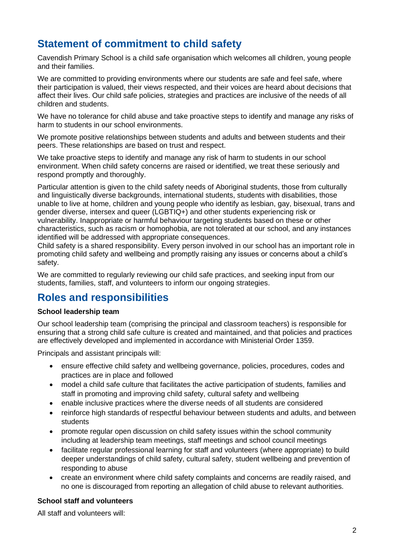# **Statement of commitment to child safety**

Cavendish Primary School is a child safe organisation which welcomes all children, young people and their families.

We are committed to providing environments where our students are safe and feel safe, where their participation is valued, their views respected, and their voices are heard about decisions that affect their lives. Our child safe policies, strategies and practices are inclusive of the needs of all children and students.

We have no tolerance for child abuse and take proactive steps to identify and manage any risks of harm to students in our school environments.

We promote positive relationships between students and adults and between students and their peers. These relationships are based on trust and respect.

We take proactive steps to identify and manage any risk of harm to students in our school environment. When child safety concerns are raised or identified, we treat these seriously and respond promptly and thoroughly.

Particular attention is given to the child safety needs of Aboriginal students, those from culturally and linguistically diverse backgrounds, international students, students with disabilities, those unable to live at home, children and young people who identify as lesbian, gay, bisexual, trans and gender diverse, intersex and queer (LGBTIQ+) and other students experiencing risk or vulnerability. Inappropriate or harmful behaviour targeting students based on these or other characteristics, such as racism or homophobia, are not tolerated at our school, and any instances identified will be addressed with appropriate consequences.

Child safety is a shared responsibility. Every person involved in our school has an important role in promoting child safety and wellbeing and promptly raising any issues or concerns about a child's safety.

We are committed to regularly reviewing our child safe practices, and seeking input from our students, families, staff, and volunteers to inform our ongoing strategies.

### **Roles and responsibilities**

#### **School leadership team**

Our school leadership team (comprising the principal and classroom teachers) is responsible for ensuring that a strong child safe culture is created and maintained, and that policies and practices are effectively developed and implemented in accordance with Ministerial Order 1359.

Principals and assistant principals will:

- ensure effective child safety and wellbeing governance, policies, procedures, codes and practices are in place and followed
- model a child safe culture that facilitates the active participation of students, families and staff in promoting and improving child safety, cultural safety and wellbeing
- enable inclusive practices where the diverse needs of all students are considered
- reinforce high standards of respectful behaviour between students and adults, and between students
- promote regular open discussion on child safety issues within the school community including at leadership team meetings, staff meetings and school council meetings
- facilitate regular professional learning for staff and volunteers (where appropriate) to build deeper understandings of child safety, cultural safety, student wellbeing and prevention of responding to abuse
- create an environment where child safety complaints and concerns are readily raised, and no one is discouraged from reporting an allegation of child abuse to relevant authorities.

#### **School staff and volunteers**

All staff and volunteers will: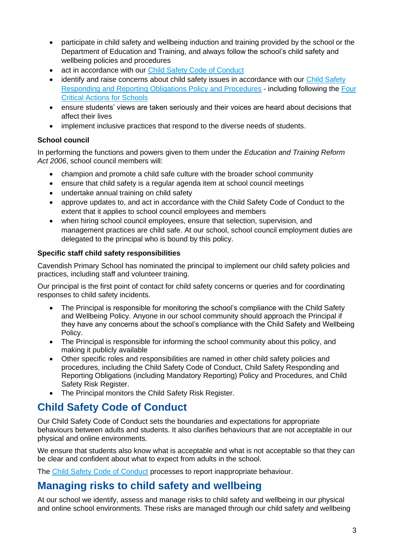- participate in child safety and wellbeing induction and training provided by the school or the Department of Education and Training, and always follow the school's child safety and wellbeing policies and procedures
- act in accordance with our [Child Safety Code of Conduct](http://cavendishps.vic.edu.au/child-safe-policies/)
- identify and raise concerns about child safety issues in accordance with our Child Safety [Responding and Reporting Obligations Policy and Procedures](http://cavendishps.vic.edu.au/child-safe-policies/) - including following the [Four](https://www.education.vic.gov.au/school/teachers/health/childprotection/Pages/report.aspx)  [Critical Actions for Schools](https://www.education.vic.gov.au/school/teachers/health/childprotection/Pages/report.aspx)
- ensure students' views are taken seriously and their voices are heard about decisions that affect their lives
- implement inclusive practices that respond to the diverse needs of students.

#### **School council**

In performing the functions and powers given to them under the *Education and Training Reform Act 2006*, school council members will:

- champion and promote a child safe culture with the broader school community
- ensure that child safety is a regular agenda item at school council meetings
- undertake annual training on child safety
- approve updates to, and act in accordance with the Child Safety Code of Conduct to the extent that it applies to school council employees and members
- when hiring school council employees, ensure that selection, supervision, and management practices are child safe. At our school, school council employment duties are delegated to the principal who is bound by this policy.

#### **Specific staff child safety responsibilities**

Cavendish Primary School has nominated the principal to implement our child safety policies and practices, including staff and volunteer training.

Our principal is the first point of contact for child safety concerns or queries and for coordinating responses to child safety incidents.

- The Principal is responsible for monitoring the school's compliance with the Child Safety and Wellbeing Policy. Anyone in our school community should approach the Principal if they have any concerns about the school's compliance with the Child Safety and Wellbeing Policy.
- The Principal is responsible for informing the school community about this policy, and making it publicly available
- Other specific roles and responsibilities are named in other child safety policies and procedures, including the Child Safety Code of Conduct, Child Safety Responding and Reporting Obligations (including Mandatory Reporting) Policy and Procedures, and Child Safety Risk Register.
- The Principal monitors the Child Safety Risk Register.

# **Child Safety Code of Conduct**

Our Child Safety Code of Conduct sets the boundaries and expectations for appropriate behaviours between adults and students. It also clarifies behaviours that are not acceptable in our physical and online environments.

We ensure that students also know what is acceptable and what is not acceptable so that they can be clear and confident about what to expect from adults in the school.

The [Child Safety Code of Conduct](http://cavendishps.vic.edu.au/child-safe-policies/) processes to report inappropriate behaviour.

# **Managing risks to child safety and wellbeing**

At our school we identify, assess and manage risks to child safety and wellbeing in our physical and online school environments. These risks are managed through our child safety and wellbeing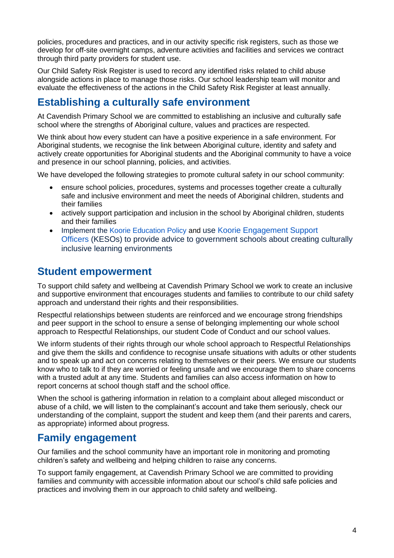policies, procedures and practices, and in our activity specific risk registers, such as those we develop for off-site overnight camps, adventure activities and facilities and services we contract through third party providers for student use.

Our Child Safety Risk Register is used to record any identified risks related to child abuse alongside actions in place to manage those risks. Our school leadership team will monitor and evaluate the effectiveness of the actions in the Child Safety Risk Register at least annually.

# **Establishing a culturally safe environment**

At Cavendish Primary School we are committed to establishing an inclusive and culturally safe school where the strengths of Aboriginal culture, values and practices are respected.

We think about how every student can have a positive experience in a safe environment. For Aboriginal students, we recognise the link between Aboriginal culture, identity and safety and actively create opportunities for Aboriginal students and the Aboriginal community to have a voice and presence in our school planning, policies, and activities.

We have developed the following strategies to promote cultural safety in our school community:

- ensure school policies, procedures, systems and processes together create a culturally safe and inclusive environment and meet the needs of Aboriginal children, students and their families
- actively support participation and inclusion in the school by Aboriginal children, students and their families
- Implement the [Koorie Education](https://www2.education.vic.gov.au/pal/koorie-education/policy) Policy and use Koorie Engagement Support [Officers](https://www.vic.gov.au/koorie-education-coordinator-contact-details) (KESOs) to provide advice to government schools about creating culturally inclusive learning environments

### **Student empowerment**

To support child safety and wellbeing at Cavendish Primary School we work to create an inclusive and supportive environment that encourages students and families to contribute to our child safety approach and understand their rights and their responsibilities.

Respectful relationships between students are reinforced and we encourage strong friendships and peer support in the school to ensure a sense of belonging implementing our whole school approach to Respectful Relationships, our student Code of Conduct and our school values.

We inform students of their rights through our whole school approach to Respectful Relationships and give them the skills and confidence to recognise unsafe situations with adults or other students and to speak up and act on concerns relating to themselves or their peers. We ensure our students know who to talk to if they are worried or feeling unsafe and we encourage them to share concerns with a trusted adult at any time. Students and families can also access information on how to report concerns at school though staff and the school office.

When the school is gathering information in relation to a complaint about alleged misconduct or abuse of a child, we will listen to the complainant's account and take them seriously, check our understanding of the complaint, support the student and keep them (and their parents and carers, as appropriate) informed about progress.

### **Family engagement**

Our families and the school community have an important role in monitoring and promoting children's safety and wellbeing and helping children to raise any concerns.

To support family engagement, at Cavendish Primary School we are committed to providing families and community with accessible information about our school's child safe policies and practices and involving them in our approach to child safety and wellbeing.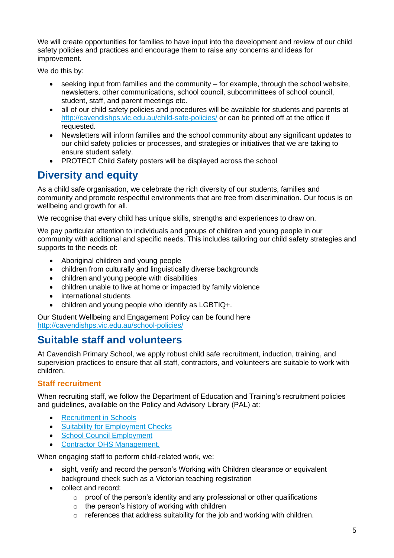We will create opportunities for families to have input into the development and review of our child safety policies and practices and encourage them to raise any concerns and ideas for improvement.

We do this by:

- seeking input from families and the community for example, through the school website, newsletters, other communications, school council, subcommittees of school council, student, staff, and parent meetings etc.
- all of our child safety policies and procedures will be available for students and parents at <http://cavendishps.vic.edu.au/child-safe-policies/> or can be printed off at the office if requested.
- Newsletters will inform families and the school community about any significant updates to our child safety policies or processes, and strategies or initiatives that we are taking to ensure student safety.
- PROTECT Child Safety posters will be displayed across the school

# **Diversity and equity**

As a child safe organisation, we celebrate the rich diversity of our students, families and community and promote respectful environments that are free from discrimination. Our focus is on wellbeing and growth for all.

We recognise that every child has unique skills, strengths and experiences to draw on.

We pay particular attention to individuals and groups of children and young people in our community with additional and specific needs. This includes tailoring our child safety strategies and supports to the needs of:

- Aboriginal children and young people
- children from culturally and linguistically diverse backgrounds
- children and young people with disabilities
- children unable to live at home or impacted by family violence
- international students
- children and young people who identify as LGBTIQ+.

Our Student Wellbeing and Engagement Policy can be found here <http://cavendishps.vic.edu.au/school-policies/>

# **Suitable staff and volunteers**

At Cavendish Primary School, we apply robust child safe recruitment, induction, training, and supervision practices to ensure that all staff, contractors, and volunteers are suitable to work with children.

#### **Staff recruitment**

When recruiting staff, we follow the Department of Education and Training's recruitment policies and guidelines, available on the Policy and Advisory Library (PAL) at:

- [Recruitment in Schools](https://www2.education.vic.gov.au/pal/recruitment-schools/overview)
- [Suitability for Employment Checks](https://www2.education.vic.gov.au/pal/suitability-employment-checks/overview)
- [School Council Employment](https://www2.education.vic.gov.au/pal/school-council-employment/overview)
- [Contractor OHS Management.](https://www2.education.vic.gov.au/pal/contractor-ohs-management/policy)

When engaging staff to perform child-related work, we:

- sight, verify and record the person's Working with Children clearance or equivalent background check such as a Victorian teaching registration
- collect and record:
	- $\circ$  proof of the person's identity and any professional or other qualifications
	- $\circ$  the person's history of working with children
	- o references that address suitability for the job and working with children.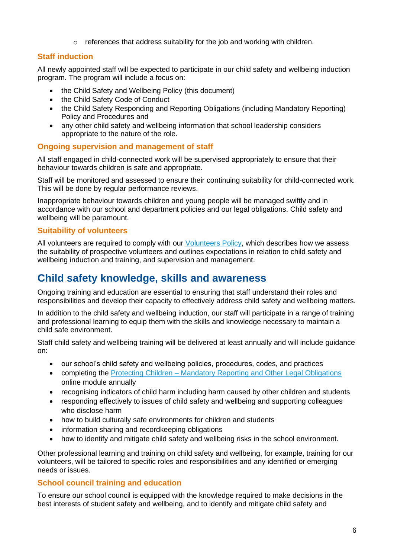$\circ$  references that address suitability for the job and working with children.

### **Staff induction**

All newly appointed staff will be expected to participate in our child safety and wellbeing induction program. The program will include a focus on:

- the Child Safety and Wellbeing Policy (this document)
- the Child Safety Code of Conduct
- the Child Safety Responding and Reporting Obligations (including Mandatory Reporting) Policy and Procedures and
- any other child safety and wellbeing information that school leadership considers appropriate to the nature of the role.

#### **Ongoing supervision and management of staff**

All staff engaged in child-connected work will be supervised appropriately to ensure that their behaviour towards children is safe and appropriate.

Staff will be monitored and assessed to ensure their continuing suitability for child-connected work. This will be done by regular performance reviews.

Inappropriate behaviour towards children and young people will be managed swiftly and in accordance with our school and department policies and our legal obligations. Child safety and wellbeing will be paramount.

#### **Suitability of volunteers**

All volunteers are required to comply with our [Volunteers Policy,](http://cavendishps.vic.edu.au/school-policies/) which describes how we assess the suitability of prospective volunteers and outlines expectations in relation to child safety and wellbeing induction and training, and supervision and management.

### **Child safety knowledge, skills and awareness**

Ongoing training and education are essential to ensuring that staff understand their roles and responsibilities and develop their capacity to effectively address child safety and wellbeing matters.

In addition to the child safety and wellbeing induction, our staff will participate in a range of training and professional learning to equip them with the skills and knowledge necessary to maintain a child safe environment.

Staff child safety and wellbeing training will be delivered at least annually and will include guidance on:

- our school's child safety and wellbeing policies, procedures, codes, and practices
- completing the Protecting Children [Mandatory Reporting and Other](http://elearn.com.au/det/protectingchildren/) Legal Obligations online module annually
- recognising indicators of child harm including harm caused by other children and students
- responding effectively to issues of child safety and wellbeing and supporting colleagues who disclose harm
- how to build culturally safe environments for children and students
- information sharing and recordkeeping obligations
- how to identify and mitigate child safety and wellbeing risks in the school environment.

Other professional learning and training on child safety and wellbeing, for example, training for our volunteers, will be tailored to specific roles and responsibilities and any identified or emerging needs or issues.

#### **School council training and education**

To ensure our school council is equipped with the knowledge required to make decisions in the best interests of student safety and wellbeing, and to identify and mitigate child safety and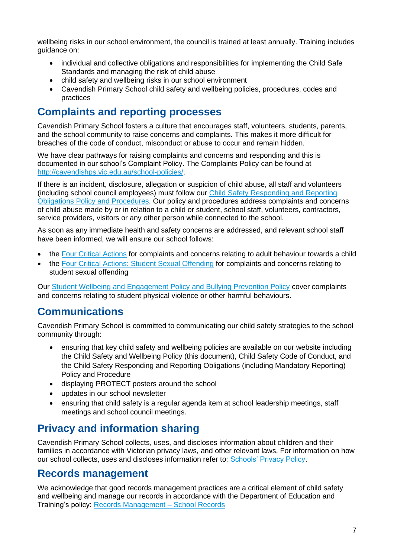wellbeing risks in our school environment, the council is trained at least annually. Training includes guidance on:

- individual and collective obligations and responsibilities for implementing the Child Safe Standards and managing the risk of child abuse
- child safety and wellbeing risks in our school environment
- Cavendish Primary School child safety and wellbeing policies, procedures, codes and practices

# **Complaints and reporting processes**

Cavendish Primary School fosters a culture that encourages staff, volunteers, students, parents, and the school community to raise concerns and complaints. This makes it more difficult for breaches of the code of conduct, misconduct or abuse to occur and remain hidden.

We have clear pathways for raising complaints and concerns and responding and this is documented in our school's Complaint Policy. The Complaints Policy can be found at [http://cavendishps.vic.edu.au/school-policies/.](http://cavendishps.vic.edu.au/school-policies/)

If there is an incident, disclosure, allegation or suspicion of child abuse, all staff and volunteers (including school council employees) must follow our Child [Safety Responding and Reporting](http://cavendishps.vic.edu.au/child-safe-policies/)  [Obligations Policy and Procedures.](http://cavendishps.vic.edu.au/child-safe-policies/) Our policy and procedures address complaints and concerns of child abuse made by or in relation to a child or student, school staff, volunteers, contractors, service providers, visitors or any other person while connected to the school.

As soon as any immediate health and safety concerns are addressed, and relevant school staff have been informed, we will ensure our school follows:

- the [Four Critical Actions](https://www.education.vic.gov.au/Documents/about/programs/health/protect/FourCriticalActions_ChildAbuse.pdf) for complaints and concerns relating to adult behaviour towards a child
- the [Four Critical Actions: Student Sexual Offending](https://www.education.vic.gov.au/school/teachers/health/childprotection/Pages/stusexual.aspx) for complaints and concerns relating to student sexual offending

Our [Student Wellbeing and Engagement Policy](http://cavendishps.vic.edu.au/school-policies/) and Bullying Prevention Policy cover complaints and concerns relating to student physical violence or other harmful behaviours.

### **Communications**

Cavendish Primary School is committed to communicating our child safety strategies to the school community through:

- ensuring that key child safety and wellbeing policies are available on our website including the Child Safety and Wellbeing Policy (this document), Child Safety Code of Conduct, and the Child Safety Responding and Reporting Obligations (including Mandatory Reporting) Policy and Procedure
- displaying PROTECT posters around the school
- updates in our school newsletter
- ensuring that child safety is a regular agenda item at school leadership meetings, staff meetings and school council meetings.

# **Privacy and information sharing**

Cavendish Primary School collects, uses, and discloses information about children and their families in accordance with Victorian privacy laws, and other relevant laws. For information on how our school collects, uses and discloses information refer to: [Schools' Privacy Policy.](https://www.education.vic.gov.au/Pages/schoolsprivacypolicy.aspx)

### **Records management**

We acknowledge that good records management practices are a critical element of child safety and wellbeing and manage our records in accordance with the Department of Education and Training's policy: [Records Management –](https://www2.education.vic.gov.au/pal/records-management/policy) School Records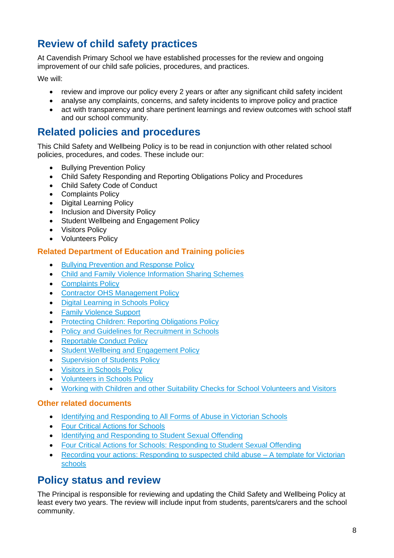# **Review of child safety practices**

At Cavendish Primary School we have established processes for the review and ongoing improvement of our child safe policies, procedures, and practices.

We will:

- review and improve our policy every 2 years or after any significant child safety incident
- analyse any complaints, concerns, and safety incidents to improve policy and practice
- act with transparency and share pertinent learnings and review outcomes with school staff and our school community.

### **Related policies and procedures**

This Child Safety and Wellbeing Policy is to be read in conjunction with other related school policies, procedures, and codes. These include our:

- Bullying Prevention Policy
- Child Safety Responding and Reporting Obligations Policy and Procedures
- Child Safety Code of Conduct
- Complaints Policy
- Digital Learning Policy
- Inclusion and Diversity Policy
- Student Wellbeing and Engagement Policy
- Visitors Policy
- Volunteers Policy

#### **Related Department of Education and Training policies**

- [Bullying Prevention and Response Policy](https://www2.education.vic.gov.au/pal/bullying-prevention-response/policy)
- [Child and Family Violence Information Sharing Schemes](https://www2.education.vic.gov.au/pal/information-sharing-schemes/policy)
- [Complaints Policy](https://www2.education.vic.gov.au/pal/complaints/policy)
- [Contractor OHS Management Policy](https://www2.education.vic.gov.au/pal/contractor-ohs-management/policy)
- [Digital Learning in Schools Policy](https://www2.education.vic.gov.au/pal/digital-learning/policy)
- [Family Violence Support](https://www2.education.vic.gov.au/pal/family-violence-support/policy)
- [Protecting Children: Reporting Obligations Policy](https://www2.education.vic.gov.au/pal/protecting-children/policy)
- [Policy and Guidelines for Recruitment in Schools](https://www2.education.vic.gov.au/pal/recruitment-schools/policy-and-guidelines)
- [Reportable Conduct Policy](https://www2.education.vic.gov.au/pal/reportable-conduct-scheme/policy)
- Student [Wellbeing and Engagement Policy](https://www2.education.vic.gov.au/pal/student-engagement/policy)
- [Supervision of Students Policy](https://www2.education.vic.gov.au/pal/supervision-students/policy)
- [Visitors in Schools Policy](https://www2.education.vic.gov.au/pal/visitors/policy)
- [Volunteers in Schools Policy](https://www2.education.vic.gov.au/pal/volunteers/policy)
- [Working with Children and other Suitability Checks for School Volunteers and Visitors](https://www2.education.vic.gov.au/pal/suitability-checks/policy)

#### **Other related documents**

- [Identifying and Responding to All Forms of Abuse in Victorian Schools](https://www.education.vic.gov.au/Documents/about/programs/health/protect/ChildSafeStandard5_SchoolsGuide.pdf)
- [Four Critical Actions for Schools](https://www.education.vic.gov.au/Documents/about/programs/health/protect/FourCriticalActions_ChildAbuse.pdf)
- [Identifying and Responding to Student Sexual Offending](https://www.education.vic.gov.au/Documents/about/programs/health/protect/SSO_Policy.pdf)
- [Four Critical Actions for Schools: Responding to Student Sexual Offending](https://www.education.vic.gov.au/Documents/about/programs/health/protect/FourCriticalActions_SSO.pdf)
- [Recording your actions: Responding to suspected](https://www.education.vic.gov.au/Documents/about/programs/health/protect/PROTECT_Schoolstemplate.pdf) child abuse A template for Victorian [schools](https://www.education.vic.gov.au/Documents/about/programs/health/protect/PROTECT_Schoolstemplate.pdf)

### **Policy status and review**

The Principal is responsible for reviewing and updating the Child Safety and Wellbeing Policy at least every two years. The review will include input from students, parents/carers and the school community.